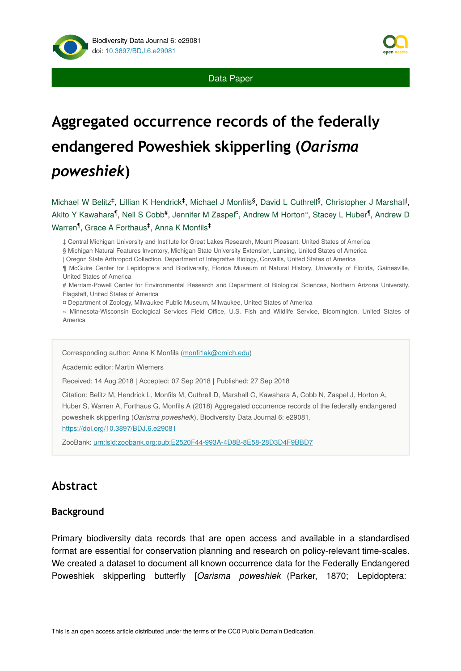

Data Paper

# **Aggregated occurrence records of the federally endangered Poweshiek skipperling (***Oarisma poweshiek***)**

Michael W Belitz<sup>‡</sup>, Lillian K Hendrick<sup>‡</sup>, Michael J Monfils<sup>§</sup>, David L Cuthrell<sup>§</sup>, Christopher J Marshall<sup>l</sup>, Akito Y Kawahara<sup>¶</sup>, Neil S Cobb#, Jennifer M Zaspel<sup>o</sup>, Andrew M Horton", Stacey L Huber<sup>¶</sup>, Andrew D Warren<sup>¶</sup>, Grace A Forthaus<sup>‡</sup>, Anna K Monfils<sup>‡</sup>

‡ Central Michigan University and Institute for Great Lakes Research, Mount Pleasant, United States of America

§ Michigan Natural Features Inventory, Michigan State University Extension, Lansing, United States of America

| Oregon State Arthropod Collection, Department of Integrative Biology, Corvallis, United States of America

¶ McGuire Center for Lepidoptera and Biodiversity, Florida Museum of Natural History, University of Florida, Gainesville, United States of America

# Merriam-Powell Center for Environmental Research and Department of Biological Sciences, Northern Arizona University, Flagstaff, United States of America

¤ Department of Zoology, Milwaukee Public Museum, Milwaukee, United States of America

« Minnesota-Wisconsin Ecological Services Field Office, U.S. Fish and Wildlife Service, Bloomington, United States of America

Corresponding author: Anna K Monfils (monfi[1ak@cmich.edu\)](mailto:monfi1ak@cmich.edu)

Academic editor: Martin Wiemers

Received: 14 Aug 2018 | Accepted: 07 Sep 2018 | Published: 27 Sep 2018

Citation: Belitz M, Hendrick L, Monfils M, Cuthrell D, Marshall C, Kawahara A, Cobb N, Zaspel J, Horton A, Huber S, Warren A, Forthaus G, Monfils A (2018) Aggregated occurrence records of the federally endangered powesheik skipperling (*Oarisma powesheik*). Biodiversity Data Journal 6: e29081. <https://doi.org/10.3897/BDJ.6.e29081>

ZooBank: [urn:lsid:zoobank.org:pub:E2520F44-993A-4D8B-8E58-28D3D4F9BBD7](http://zoobank.org/E2520F44-993A-4D8B-8E58-28D3D4F9BBD7)

# **Abstract**

#### **Background**

Primary biodiversity data records that are open access and available in a standardised format are essential for conservation planning and research on policy-relevant time-scales. We created a dataset to document all known occurrence data for the Federally Endangered Poweshiek skipperling butterfly [*Oarisma poweshiek* (Parker, 1870; Lepidoptera: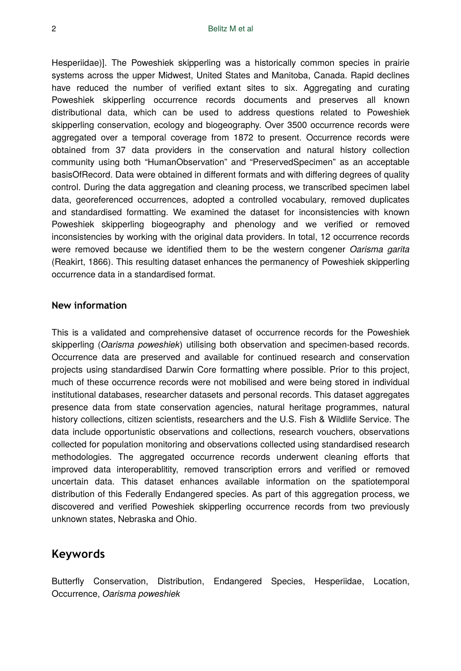Hesperiidae)]. The Poweshiek skipperling was a historically common species in prairie systems across the upper Midwest, United States and Manitoba, Canada. Rapid declines have reduced the number of verified extant sites to six. Aggregating and curating Poweshiek skipperling occurrence records documents and preserves all known distributional data, which can be used to address questions related to Poweshiek skipperling conservation, ecology and biogeography. Over 3500 occurrence records were aggregated over a temporal coverage from 1872 to present. Occurrence records were obtained from 37 data providers in the conservation and natural history collection community using both "HumanObservation" and "PreservedSpecimen" as an acceptable basisOfRecord. Data were obtained in different formats and with differing degrees of quality control. During the data aggregation and cleaning process, we transcribed specimen label data, georeferenced occurrences, adopted a controlled vocabulary, removed duplicates and standardised formatting. We examined the dataset for inconsistencies with known Poweshiek skipperling biogeography and phenology and we verified or removed inconsistencies by working with the original data providers. In total, 12 occurrence records were removed because we identified them to be the western congener *Oarisma garita* (Reakirt, 1866). This resulting dataset enhances the permanency of Poweshiek skipperling occurrence data in a standardised format.

#### **New information**

This is a validated and comprehensive dataset of occurrence records for the Poweshiek skipperling (*Oarisma poweshiek*) utilising both observation and specimen-based records. Occurrence data are preserved and available for continued research and conservation projects using standardised Darwin Core formatting where possible. Prior to this project, much of these occurrence records were not mobilised and were being stored in individual institutional databases, researcher datasets and personal records. This dataset aggregates presence data from state conservation agencies, natural heritage programmes, natural history collections, citizen scientists, researchers and the U.S. Fish & Wildlife Service. The data include opportunistic observations and collections, research vouchers, observations collected for population monitoring and observations collected using standardised research methodologies. The aggregated occurrence records underwent cleaning efforts that improved data interoperablitity, removed transcription errors and verified or removed uncertain data. This dataset enhances available information on the spatiotemporal distribution of this Federally Endangered species. As part of this aggregation process, we discovered and verified Poweshiek skipperling occurrence records from two previously unknown states, Nebraska and Ohio.

## **Keywords**

Butterfly Conservation, Distribution, Endangered Species, Hesperiidae, Location, Occurrence, *Oarisma poweshiek*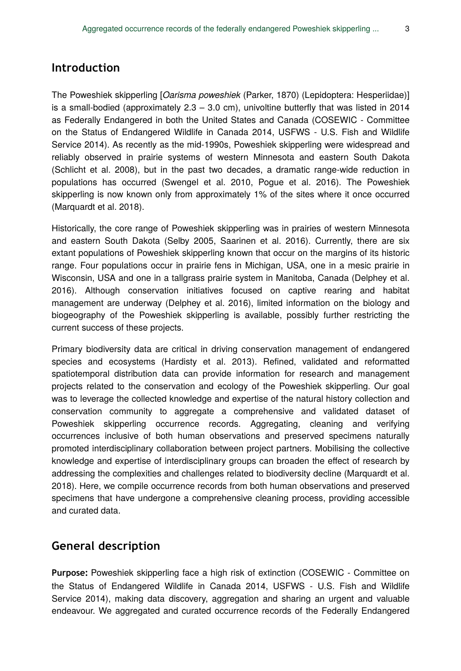## **Introduction**

The Poweshiek skipperling [*Oarisma poweshiek* (Parker, 1870) (Lepidoptera: Hesperiidae)] is a small-bodied (approximately  $2.3 - 3.0$  cm), univoltine butterfly that was listed in 2014 as Federally Endangered in both the United States and Canada (COSEWIC - Committee on the Status of Endangered Wildlife in Canada 2014, USFWS - U.S. Fish and Wildlife Service 2014). As recently as the mid-1990s, Poweshiek skipperling were widespread and reliably observed in prairie systems of western Minnesota and eastern South Dakota (Schlicht et al. 2008), but in the past two decades, a dramatic range-wide reduction in populations has occurred (Swengel et al. 2010, Pogue et al. 2016). The Poweshiek skipperling is now known only from approximately 1% of the sites where it once occurred (Marquardt et al. 2018).

Historically, the core range of Poweshiek skipperling was in prairies of western Minnesota and eastern South Dakota (Selby 2005, Saarinen et al. 2016). Currently, there are six extant populations of Poweshiek skipperling known that occur on the margins of its historic range. Four populations occur in prairie fens in Michigan, USA, one in a mesic prairie in Wisconsin, USA and one in a tallgrass prairie system in Manitoba, Canada (Delphey et al. 2016). Although conservation initiatives focused on captive rearing and habitat management are underway (Delphey et al. 2016), limited information on the biology and biogeography of the Poweshiek skipperling is available, possibly further restricting the current success of these projects.

Primary biodiversity data are critical in driving conservation management of endangered species and ecosystems (Hardisty et al. 2013). Refined, validated and reformatted spatiotemporal distribution data can provide information for research and management projects related to the conservation and ecology of the Poweshiek skipperling. Our goal was to leverage the collected knowledge and expertise of the natural history collection and conservation community to aggregate a comprehensive and validated dataset of Poweshiek skipperling occurrence records. Aggregating, cleaning and verifying occurrences inclusive of both human observations and preserved specimens naturally promoted interdisciplinary collaboration between project partners. Mobilising the collective knowledge and expertise of interdisciplinary groups can broaden the effect of research by addressing the complexities and challenges related to biodiversity decline (Marquardt et al. 2018). Here, we compile occurrence records from both human observations and preserved specimens that have undergone a comprehensive cleaning process, providing accessible and curated data.

# **General description**

**Purpose:** Poweshiek skipperling face a high risk of extinction (COSEWIC - Committee on the Status of Endangered Wildlife in Canada 2014, USFWS - U.S. Fish and Wildlife Service 2014), making data discovery, aggregation and sharing an urgent and valuable endeavour. We aggregated and curated occurrence records of the Federally Endangered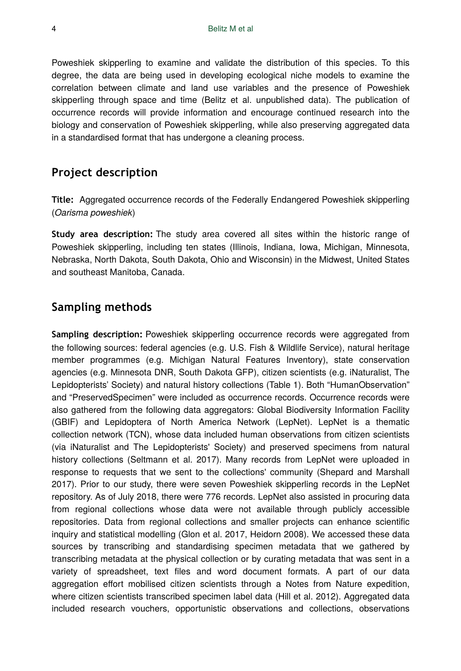Poweshiek skipperling to examine and validate the distribution of this species. To this degree, the data are being used in developing ecological niche models to examine the correlation between climate and land use variables and the presence of Poweshiek skipperling through space and time (Belitz et al. unpublished data). The publication of occurrence records will provide information and encourage continued research into the biology and conservation of Poweshiek skipperling, while also preserving aggregated data in a standardised format that has undergone a cleaning process.

# **Project description**

**Title:** Aggregated occurrence records of the Federally Endangered Poweshiek skipperling (*Oarisma poweshiek*)

**Study area description:** The study area covered all sites within the historic range of Poweshiek skipperling, including ten states (Illinois, Indiana, Iowa, Michigan, Minnesota, Nebraska, North Dakota, South Dakota, Ohio and Wisconsin) in the Midwest, United States and southeast Manitoba, Canada.

# **Sampling methods**

**Sampling description:** Poweshiek skipperling occurrence records were aggregated from the following sources: federal agencies (e.g. U.S. Fish & Wildlife Service), natural heritage member programmes (e.g. Michigan Natural Features Inventory), state conservation agencies (e.g. Minnesota DNR, South Dakota GFP), citizen scientists (e.g. iNaturalist, The Lepidopterists' Society) and natural history collections (Table 1). Both "HumanObservation" and "PreservedSpecimen" were included as occurrence records. Occurrence records were also gathered from the following data aggregators: Global Biodiversity Information Facility (GBIF) and Lepidoptera of North America Network (LepNet). LepNet is a thematic collection network (TCN), whose data included human observations from citizen scientists (via iNaturalist and The Lepidopterists' Society) and preserved specimens from natural history collections (Seltmann et al. 2017). Many records from LepNet were uploaded in response to requests that we sent to the collections' community (Shepard and Marshall 2017). Prior to our study, there were seven Poweshiek skipperling records in the LepNet repository. As of July 2018, there were 776 records. LepNet also assisted in procuring data from regional collections whose data were not available through publicly accessible repositories. Data from regional collections and smaller projects can enhance scientific inquiry and statistical modelling (Glon et al. 2017, Heidorn 2008). We accessed these data sources by transcribing and standardising specimen metadata that we gathered by transcribing metadata at the physical collection or by curating metadata that was sent in a variety of spreadsheet, text files and word document formats. A part of our data aggregation effort mobilised citizen scientists through a Notes from Nature expedition, where citizen scientists transcribed specimen label data (Hill et al. 2012). Aggregated data included research vouchers, opportunistic observations and collections, observations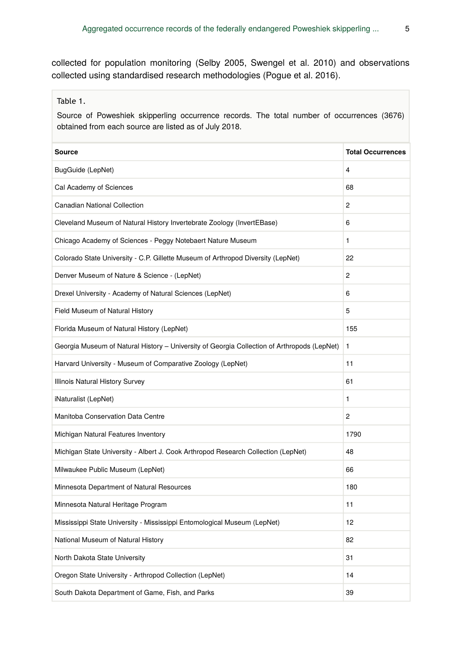collected for population monitoring (Selby 2005, Swengel et al. 2010) and observations collected using standardised research methodologies (Pogue et al. 2016).

Table 1.

Source of Poweshiek skipperling occurrence records. The total number of occurrences (3676) obtained from each source are listed as of July 2018.

| Source                                                                                      | <b>Total Occurrences</b> |
|---------------------------------------------------------------------------------------------|--------------------------|
| BugGuide (LepNet)                                                                           | 4                        |
| Cal Academy of Sciences                                                                     | 68                       |
| <b>Canadian National Collection</b>                                                         | $\overline{2}$           |
| Cleveland Museum of Natural History Invertebrate Zoology (InvertEBase)                      | 6                        |
| Chicago Academy of Sciences - Peggy Notebaert Nature Museum                                 | 1                        |
| Colorado State University - C.P. Gillette Museum of Arthropod Diversity (LepNet)            | 22                       |
| Denver Museum of Nature & Science - (LepNet)                                                | $\overline{c}$           |
| Drexel University - Academy of Natural Sciences (LepNet)                                    | 6                        |
| Field Museum of Natural History                                                             | 5                        |
| Florida Museum of Natural History (LepNet)                                                  | 155                      |
| Georgia Museum of Natural History - University of Georgia Collection of Arthropods (LepNet) | 1                        |
| Harvard University - Museum of Comparative Zoology (LepNet)                                 | 11                       |
| Illinois Natural History Survey                                                             | 61                       |
| iNaturalist (LepNet)                                                                        | 1                        |
| Manitoba Conservation Data Centre                                                           | $\overline{c}$           |
| Michigan Natural Features Inventory                                                         | 1790                     |
| Michigan State University - Albert J. Cook Arthropod Research Collection (LepNet)           | 48                       |
| Milwaukee Public Museum (LepNet)                                                            | 66                       |
| Minnesota Department of Natural Resources                                                   | 180                      |
| Minnesota Natural Heritage Program                                                          | 11                       |
| Mississippi State University - Mississippi Entomological Museum (LepNet)                    | 12                       |
| National Museum of Natural History                                                          | 82                       |
| North Dakota State University                                                               | 31                       |
| Oregon State University - Arthropod Collection (LepNet)                                     | 14                       |
| South Dakota Department of Game, Fish, and Parks                                            | 39                       |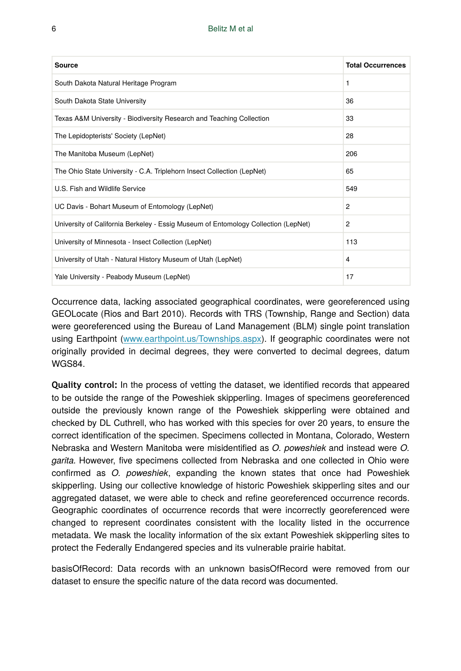| Source                                                                             | <b>Total Occurrences</b> |
|------------------------------------------------------------------------------------|--------------------------|
| South Dakota Natural Heritage Program                                              | 1                        |
| South Dakota State University                                                      | 36                       |
| Texas A&M University - Biodiversity Research and Teaching Collection               | 33                       |
| The Lepidopterists' Society (LepNet)                                               | 28                       |
| The Manitoba Museum (LepNet)                                                       | 206                      |
| The Ohio State University - C.A. Triplehorn Insect Collection (LepNet)             | 65                       |
| U.S. Fish and Wildlife Service                                                     | 549                      |
| UC Davis - Bohart Museum of Entomology (LepNet)                                    | 2                        |
| University of California Berkeley - Essig Museum of Entomology Collection (LepNet) | 2                        |
| University of Minnesota - Insect Collection (LepNet)                               | 113                      |
| University of Utah - Natural History Museum of Utah (LepNet)                       | 4                        |
| Yale University - Peabody Museum (LepNet)                                          | 17                       |

Occurrence data, lacking associated geographical coordinates, were georeferenced using GEOLocate (Rios and Bart 2010). Records with TRS (Township, Range and Section) data were georeferenced using the Bureau of Land Management (BLM) single point translation using Earthpoint [\(www.earthpoint.us/Townships.aspx\)](http://www.earthpoint.us/Townships.aspx). If geographic coordinates were not originally provided in decimal degrees, they were converted to decimal degrees, datum WGS84.

**Quality control:** In the process of vetting the dataset, we identified records that appeared to be outside the range of the Poweshiek skipperling. Images of specimens georeferenced outside the previously known range of the Poweshiek skipperling were obtained and checked by DL Cuthrell, who has worked with this species for over 20 years, to ensure the correct identification of the specimen. Specimens collected in Montana, Colorado, Western Nebraska and Western Manitoba were misidentified as *O. poweshiek* and instead were *O. garita.* However, five specimens collected from Nebraska and one collected in Ohio were confirmed as *O. poweshiek*, expanding the known states that once had Poweshiek skipperling. Using our collective knowledge of historic Poweshiek skipperling sites and our aggregated dataset, we were able to check and refine georeferenced occurrence records. Geographic coordinates of occurrence records that were incorrectly georeferenced were changed to represent coordinates consistent with the locality listed in the occurrence metadata. We mask the locality information of the six extant Poweshiek skipperling sites to protect the Federally Endangered species and its vulnerable prairie habitat.

basisOfRecord: Data records with an unknown basisOfRecord were removed from our dataset to ensure the specific nature of the data record was documented.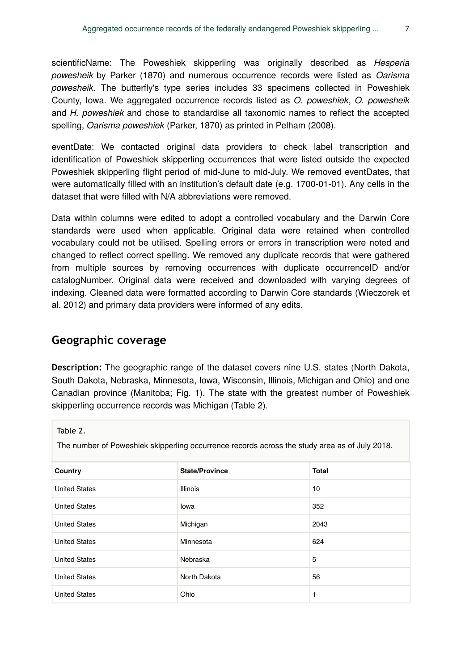scientificName: The Poweshiek skipperling was originally described as *Hesperia powesheik* by Parker (1870) and numerous occurrence records were listed as *Oarisma powesheik*. The butterfly's type series includes 33 specimens collected in Poweshiek County, Iowa. We aggregated occurrence records listed as *O. poweshiek*, *O. powesheik* and *H. poweshiek* and chose to standardise all taxonomic names to reflect the accepted spelling, *Oarisma poweshiek* (Parker, 1870) as printed in Pelham (2008).

eventDate: We contacted original data providers to check label transcription and identification of Poweshiek skipperling occurrences that were listed outside the expected Poweshiek skipperling flight period of mid-June to mid-July. We removed eventDates, that were automatically filled with an institution's default date (e.g. 1700-01-01). Any cells in the dataset that were filled with N/A abbreviations were removed.

Data within columns were edited to adopt a controlled vocabulary and the Darwin Core standards were used when applicable. Original data were retained when controlled vocabulary could not be utilised. Spelling errors or errors in transcription were noted and changed to reflect correct spelling. We removed any duplicate records that were gathered from multiple sources by removing occurrences with duplicate occurrenceID and/or catalogNumber. Original data were received and downloaded with varying degrees of indexing. Cleaned data were formatted according to Darwin Core standards (Wieczorek et al. 2012) and primary data providers were informed of any edits.

## **Geographic coverage**

**Description:** The geographic range of the dataset covers nine U.S. states (North Dakota, South Dakota, Nebraska, Minnesota, Iowa, Wisconsin, Illinois, Michigan and Ohio) and one Canadian province (Manitoba; Fig. 1). The state with the greatest number of Poweshiek skipperling occurrence records was Michigan (Table 2).

Table 2.

The number of Poweshiek skipperling occurrence records across the study area as of July 2018.

| Country              | <b>State/Province</b> | Total |
|----------------------|-----------------------|-------|
| <b>United States</b> | <b>Illinois</b>       | 10    |
| <b>United States</b> | lowa                  | 352   |
| <b>United States</b> | Michigan              | 2043  |
| <b>United States</b> | Minnesota             | 624   |
| <b>United States</b> | Nebraska              | 5     |
| <b>United States</b> | North Dakota          | 56    |
| <b>United States</b> | Ohio                  | 1     |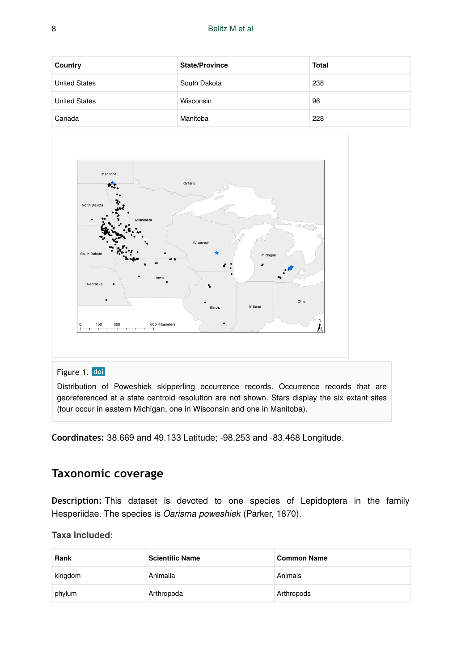| Country              | <b>State/Province</b> | <b>Total</b> |
|----------------------|-----------------------|--------------|
| <b>United States</b> | South Dakota          | 238          |
| <b>United States</b> | Wisconsin             | 96           |
| Canada               | Manitoba              | 228          |



#### Figure 1. doi

Distribution of Poweshiek skipperling occurrence records. Occurrence records that are georeferenced at a state centroid resolution are not shown. Stars display the six extant sites (four occur in eastern Michigan, one in Wisconsin and one in Manitoba).

**Coordinates:** 38.669 and 49.133 Latitude; -98.253 and -83.468 Longitude.

# **Taxonomic coverage**

**Description:** This dataset is devoted to one species of Lepidoptera in the family Hesperiidae. The species is *Oarisma poweshiek* (Parker, 1870).

#### **Taxa included:**

| Rank    | <b>Scientific Name</b> | <b>Common Name</b> |
|---------|------------------------|--------------------|
| kingdom | Animalia               | Animals            |
| phylum  | Arthropoda             | Arthropods         |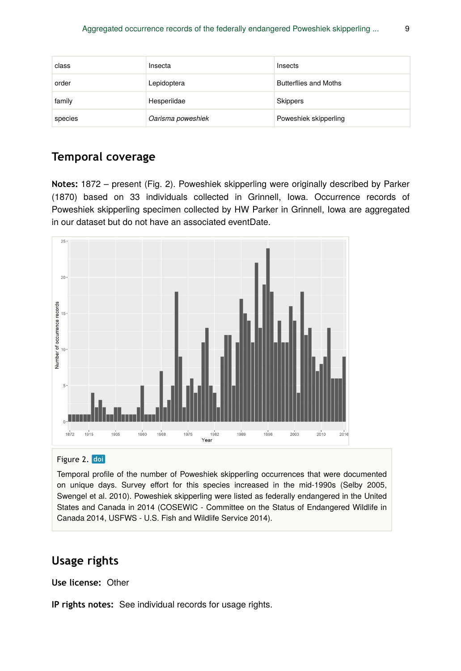| class   | Insecta           | Insects                      |
|---------|-------------------|------------------------------|
| order   | Lepidoptera       | <b>Butterflies and Moths</b> |
| family  | Hesperiidae       | Skippers                     |
| species | Oarisma poweshiek | Poweshiek skipperling        |

# **Temporal coverage**

**Notes:** 1872 – present (Fig. 2). Poweshiek skipperling were originally described by Parker (1870) based on 33 individuals collected in Grinnell, Iowa. Occurrence records of Poweshiek skipperling specimen collected by HW Parker in Grinnell, Iowa are aggregated in our dataset but do not have an associated eventDate.



#### Figure 2. doi

Temporal profile of the number of Poweshiek skipperling occurrences that were documented on unique days. Survey effort for this species increased in the mid-1990s (Selby 2005, Swengel et al. 2010). Poweshiek skipperling were listed as federally endangered in the United States and Canada in 2014 (COSEWIC - Committee on the Status of Endangered Wildlife in Canada 2014, USFWS - U.S. Fish and Wildlife Service 2014).

# **Usage rights**

**Use license:** Other

**IP rights notes:** See individual records for usage rights.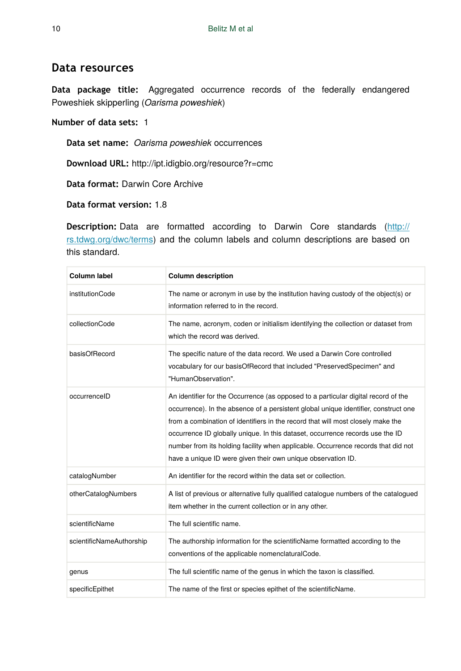### **Data resources**

**Data package title:** Aggregated occurrence records of the federally endangered Poweshiek skipperling (*Oarisma poweshiek*)

#### **Number of data sets:** 1

**Data set name:** *Oarisma poweshiek* occurrences

**Download URL:** http://ipt.idigbio.org/resource?r=cmc

**Data format:** Darwin Core Archive

**Data format version:** 1.8

**Description:** Data are formatted according to Darwin Core standards ([http://](http://rs.tdwg.org/dwc/terms) [rs.tdwg.org/dwc/terms](http://rs.tdwg.org/dwc/terms)) and the column labels and column descriptions are based on this standard.

| <b>Column label</b>      | <b>Column description</b>                                                                                                                                                                                                                                                                                                                                                                                                                                                                          |
|--------------------------|----------------------------------------------------------------------------------------------------------------------------------------------------------------------------------------------------------------------------------------------------------------------------------------------------------------------------------------------------------------------------------------------------------------------------------------------------------------------------------------------------|
| institutionCode          | The name or acronym in use by the institution having custody of the object(s) or<br>information referred to in the record.                                                                                                                                                                                                                                                                                                                                                                         |
| collectionCode           | The name, acronym, coden or initialism identifying the collection or dataset from<br>which the record was derived.                                                                                                                                                                                                                                                                                                                                                                                 |
| basisOfRecord            | The specific nature of the data record. We used a Darwin Core controlled<br>vocabulary for our basisOfRecord that included "PreservedSpecimen" and<br>"HumanObservation".                                                                                                                                                                                                                                                                                                                          |
| occurrenceID             | An identifier for the Occurrence (as opposed to a particular digital record of the<br>occurrence). In the absence of a persistent global unique identifier, construct one<br>from a combination of identifiers in the record that will most closely make the<br>occurrence ID globally unique. In this dataset, occurrence records use the ID<br>number from its holding facility when applicable. Occurrence records that did not<br>have a unique ID were given their own unique observation ID. |
| catalogNumber            | An identifier for the record within the data set or collection.                                                                                                                                                                                                                                                                                                                                                                                                                                    |
| otherCatalogNumbers      | A list of previous or alternative fully qualified catalogue numbers of the catalogued<br>item whether in the current collection or in any other.                                                                                                                                                                                                                                                                                                                                                   |
| scientificName           | The full scientific name.                                                                                                                                                                                                                                                                                                                                                                                                                                                                          |
| scientificNameAuthorship | The authorship information for the scientificName formatted according to the<br>conventions of the applicable nomenclaturalCode.                                                                                                                                                                                                                                                                                                                                                                   |
| genus                    | The full scientific name of the genus in which the taxon is classified.                                                                                                                                                                                                                                                                                                                                                                                                                            |
| specificEpithet          | The name of the first or species epithet of the scientificName.                                                                                                                                                                                                                                                                                                                                                                                                                                    |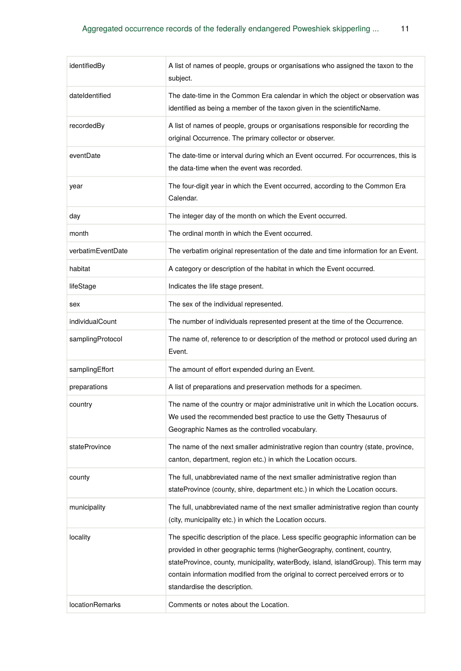| identifiedBy      | A list of names of people, groups or organisations who assigned the taxon to the<br>subject.                                                                                                                                                                                                                                                                              |
|-------------------|---------------------------------------------------------------------------------------------------------------------------------------------------------------------------------------------------------------------------------------------------------------------------------------------------------------------------------------------------------------------------|
| dateIdentified    | The date-time in the Common Era calendar in which the object or observation was<br>identified as being a member of the taxon given in the scientificName.                                                                                                                                                                                                                 |
| recordedBy        | A list of names of people, groups or organisations responsible for recording the<br>original Occurrence. The primary collector or observer.                                                                                                                                                                                                                               |
| eventDate         | The date-time or interval during which an Event occurred. For occurrences, this is<br>the data-time when the event was recorded.                                                                                                                                                                                                                                          |
| year              | The four-digit year in which the Event occurred, according to the Common Era<br>Calendar.                                                                                                                                                                                                                                                                                 |
| day               | The integer day of the month on which the Event occurred.                                                                                                                                                                                                                                                                                                                 |
| month             | The ordinal month in which the Event occurred.                                                                                                                                                                                                                                                                                                                            |
| verbatimEventDate | The verbatim original representation of the date and time information for an Event.                                                                                                                                                                                                                                                                                       |
| habitat           | A category or description of the habitat in which the Event occurred.                                                                                                                                                                                                                                                                                                     |
| lifeStage         | Indicates the life stage present.                                                                                                                                                                                                                                                                                                                                         |
| sex               | The sex of the individual represented.                                                                                                                                                                                                                                                                                                                                    |
| individualCount   | The number of individuals represented present at the time of the Occurrence.                                                                                                                                                                                                                                                                                              |
| samplingProtocol  | The name of, reference to or description of the method or protocol used during an<br>Event.                                                                                                                                                                                                                                                                               |
| samplingEffort    | The amount of effort expended during an Event.                                                                                                                                                                                                                                                                                                                            |
| preparations      | A list of preparations and preservation methods for a specimen.                                                                                                                                                                                                                                                                                                           |
| country           | The name of the country or major administrative unit in which the Location occurs.<br>We used the recommended best practice to use the Getty Thesaurus of<br>Geographic Names as the controlled vocabulary.                                                                                                                                                               |
| stateProvince     | The name of the next smaller administrative region than country (state, province,<br>canton, department, region etc.) in which the Location occurs.                                                                                                                                                                                                                       |
| county            | The full, unabbreviated name of the next smaller administrative region than<br>stateProvince (county, shire, department etc.) in which the Location occurs.                                                                                                                                                                                                               |
| municipality      | The full, unabbreviated name of the next smaller administrative region than county<br>(city, municipality etc.) in which the Location occurs.                                                                                                                                                                                                                             |
| locality          | The specific description of the place. Less specific geographic information can be<br>provided in other geographic terms (higherGeography, continent, country,<br>stateProvince, county, municipality, waterBody, island, islandGroup). This term may<br>contain information modified from the original to correct perceived errors or to<br>standardise the description. |
| locationRemarks   | Comments or notes about the Location.                                                                                                                                                                                                                                                                                                                                     |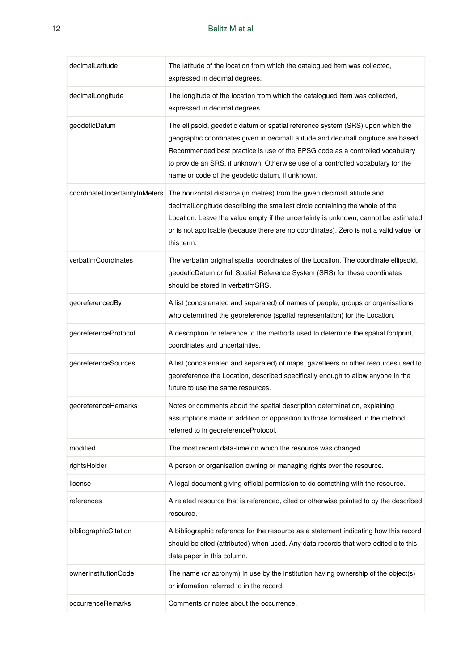÷

| decimalLatitude               | The latitude of the location from which the catalogued item was collected,<br>expressed in decimal degrees.                                                                                                                                                                                                                                                                             |
|-------------------------------|-----------------------------------------------------------------------------------------------------------------------------------------------------------------------------------------------------------------------------------------------------------------------------------------------------------------------------------------------------------------------------------------|
| decimalLongitude              | The longitude of the location from which the catalogued item was collected,<br>expressed in decimal degrees.                                                                                                                                                                                                                                                                            |
| geodeticDatum                 | The ellipsoid, geodetic datum or spatial reference system (SRS) upon which the<br>geographic coordinates given in decimalLatitude and decimalLongitude are based.<br>Recommended best practice is use of the EPSG code as a controlled vocabulary<br>to provide an SRS, if unknown. Otherwise use of a controlled vocabulary for the<br>name or code of the geodetic datum, if unknown. |
| coordinateUncertaintyInMeters | The horizontal distance (in metres) from the given decimalLatitude and<br>decimalLongitude describing the smallest circle containing the whole of the<br>Location. Leave the value empty if the uncertainty is unknown, cannot be estimated<br>or is not applicable (because there are no coordinates). Zero is not a valid value for<br>this term.                                     |
| verbatimCoordinates           | The verbatim original spatial coordinates of the Location. The coordinate ellipsoid,<br>geodeticDatum or full Spatial Reference System (SRS) for these coordinates<br>should be stored in verbatimSRS.                                                                                                                                                                                  |
| georeferencedBy               | A list (concatenated and separated) of names of people, groups or organisations<br>who determined the georeference (spatial representation) for the Location.                                                                                                                                                                                                                           |
| georeferenceProtocol          | A description or reference to the methods used to determine the spatial footprint,<br>coordinates and uncertainties.                                                                                                                                                                                                                                                                    |
| georeferenceSources           | A list (concatenated and separated) of maps, gazetteers or other resources used to<br>georeference the Location, described specifically enough to allow anyone in the<br>future to use the same resources.                                                                                                                                                                              |
| georeferenceRemarks           | Notes or comments about the spatial description determination, explaining<br>assumptions made in addition or opposition to those formalised in the method<br>referred to in georeferenceProtocol.                                                                                                                                                                                       |
| modified                      | The most recent data-time on which the resource was changed.                                                                                                                                                                                                                                                                                                                            |
| rightsHolder                  | A person or organisation owning or managing rights over the resource.                                                                                                                                                                                                                                                                                                                   |
| license                       | A legal document giving official permission to do something with the resource.                                                                                                                                                                                                                                                                                                          |
| references                    | A related resource that is referenced, cited or otherwise pointed to by the described<br>resource.                                                                                                                                                                                                                                                                                      |
| bibliographicCitation         | A bibliographic reference for the resource as a statement indicating how this record<br>should be cited (attributed) when used. Any data records that were edited cite this<br>data paper in this column.                                                                                                                                                                               |
| ownerInstitutionCode          | The name (or acronym) in use by the institution having ownership of the object(s)<br>or infomation referred to in the record.                                                                                                                                                                                                                                                           |
| occurrenceRemarks             | Comments or notes about the occurrence.                                                                                                                                                                                                                                                                                                                                                 |

 $\sim$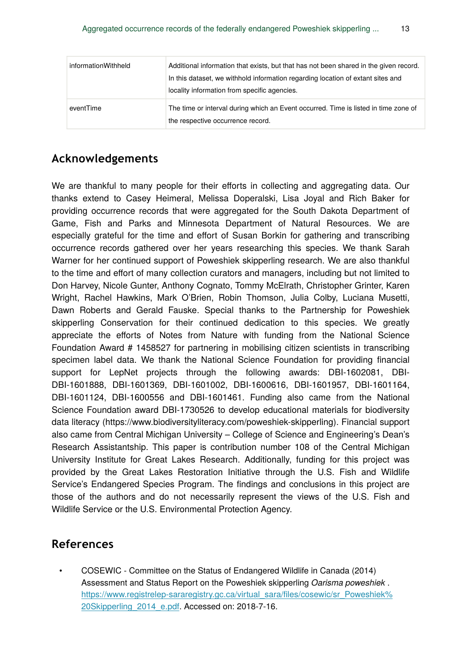| informationWithheld | Additional information that exists, but that has not been shared in the given record.<br>In this dataset, we withhold information regarding location of extant sites and<br>locality information from specific agencies. |
|---------------------|--------------------------------------------------------------------------------------------------------------------------------------------------------------------------------------------------------------------------|
| eventTime           | The time or interval during which an Event occurred. Time is listed in time zone of<br>the respective occurrence record.                                                                                                 |

# **Acknowledgements**

We are thankful to many people for their efforts in collecting and aggregating data. Our thanks extend to Casey Heimeral, Melissa Doperalski, Lisa Joyal and Rich Baker for providing occurrence records that were aggregated for the South Dakota Department of Game, Fish and Parks and Minnesota Department of Natural Resources. We are especially grateful for the time and effort of Susan Borkin for gathering and transcribing occurrence records gathered over her years researching this species. We thank Sarah Warner for her continued support of Poweshiek skipperling research. We are also thankful to the time and effort of many collection curators and managers, including but not limited to Don Harvey, Nicole Gunter, Anthony Cognato, Tommy McElrath, Christopher Grinter, Karen Wright, Rachel Hawkins, Mark O'Brien, Robin Thomson, Julia Colby, Luciana Musetti, Dawn Roberts and Gerald Fauske. Special thanks to the Partnership for Poweshiek skipperling Conservation for their continued dedication to this species. We greatly appreciate the efforts of Notes from Nature with funding from the National Science Foundation Award # 1458527 for partnering in mobilising citizen scientists in transcribing specimen label data. We thank the National Science Foundation for providing financial support for LepNet projects through the following awards: DBI-1602081, DBI-DBI-1601888, DBI-1601369, DBI-1601002, DBI-1600616, DBI-1601957, DBI-1601164, DBI-1601124, DBI-1600556 and DBI-1601461. Funding also came from the National Science Foundation award DBI-1730526 to develop educational materials for biodiversity data literacy (https://www.biodiversityliteracy.com/poweshiek-skipperling). Financial support also came from Central Michigan University – College of Science and Engineering's Dean's Research Assistantship. This paper is contribution number 108 of the Central Michigan University Institute for Great Lakes Research. Additionally, funding for this project was provided by the Great Lakes Restoration Initiative through the U.S. Fish and Wildlife Service's Endangered Species Program. The findings and conclusions in this project are those of the authors and do not necessarily represent the views of the U.S. Fish and Wildlife Service or the U.S. Environmental Protection Agency.

## **References**

• COSEWIC - Committee on the Status of Endangered Wildlife in Canada (2014) Assessment and Status Report on the Poweshiek skipperling *Oarisma poweshiek* . [https://www.registrelep-sararegistry.gc.ca/virtual\\_sara/](https://www.registrelep-sararegistry.gc.ca/virtual_sara/files/cosewic/sr_Poweshiek%20Skipperling_2014_e.pdf)files/cosewic/sr\_Poweshiek% [20Skipperling\\_2014\\_e.pdf.](https://www.registrelep-sararegistry.gc.ca/virtual_sara/files/cosewic/sr_Poweshiek%20Skipperling_2014_e.pdf) Accessed on: 2018-7-16.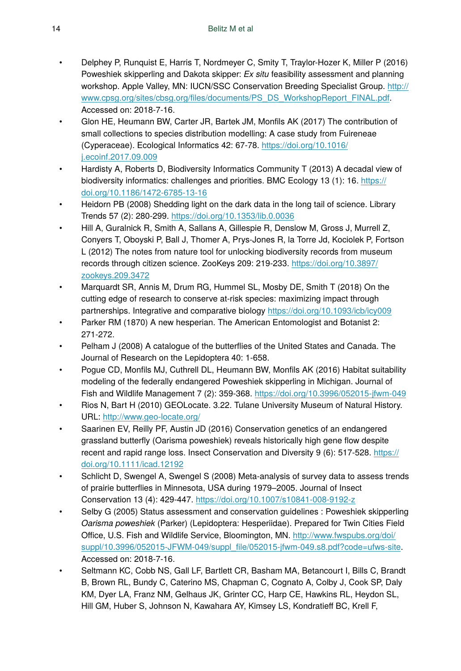- Delphey P, Runquist E, Harris T, Nordmeyer C, Smity T, Traylor-Hozer K, Miller P (2016) Poweshiek skipperling and Dakota skipper: *Ex situ* feasibility assessment and planning workshop. Apple Valley, MN: IUCN/SSC Conservation Breeding Specialist Group. [http://](http://www.cpsg.org/sites/cbsg.org/files/documents/PS_DS_WorkshopReport_FINAL.pdf) www.cpsg.org/sites/cbsg.org/fi[les/documents/PS\\_DS\\_WorkshopReport\\_FINAL.pdf.](http://www.cpsg.org/sites/cbsg.org/files/documents/PS_DS_WorkshopReport_FINAL.pdf) Accessed on: 2018-7-16.
- Glon HE, Heumann BW, Carter JR, Bartek JM, Monfils AK (2017) The contribution of small collections to species distribution modelling: A case study from Fuireneae (Cyperaceae). Ecological Informatics 42: 67‑78. [https://doi.org/10.1016/](https://doi.org/10.1016/j.ecoinf.2017.09.009) [j.ecoinf.2017.09.009](https://doi.org/10.1016/j.ecoinf.2017.09.009)
- Hardisty A, Roberts D, Biodiversity Informatics Community T (2013) A decadal view of biodiversity informatics: challenges and priorities. BMC Ecology 13 (1): 16. [https://](https://doi.org/10.1186/1472-6785-13-16) [doi.org/10.1186/1472-6785-13-16](https://doi.org/10.1186/1472-6785-13-16)
- Heidorn PB (2008) Shedding light on the dark data in the long tail of science. Library Trends 57 (2): 280‑299. <https://doi.org/10.1353/lib.0.0036>
- Hill A, Guralnick R, Smith A, Sallans A, Gillespie R, Denslow M, Gross J, Murrell Z, Conyers T, Oboyski P, Ball J, Thomer A, Prys-Jones R, la Torre Jd, Kociolek P, Fortson L (2012) The notes from nature tool for unlocking biodiversity records from museum records through citizen science. ZooKeys 209: 219‑233. [https://doi.org/10.3897/](https://doi.org/10.3897/zookeys.209.3472) [zookeys.209.3472](https://doi.org/10.3897/zookeys.209.3472)
- Marquardt SR, Annis M, Drum RG, Hummel SL, Mosby DE, Smith T (2018) On the cutting edge of research to conserve at-risk species: maximizing impact through partnerships. Integrative and comparative biology<https://doi.org/10.1093/icb/icy009>
- Parker RM (1870) A new hesperian. The American Entomologist and Botanist 2: 271‑272.
- Pelham J (2008) A catalogue of the butterflies of the United States and Canada. The Journal of Research on the Lepidoptera 40: 1‑658.
- Pogue CD, Monfils MJ, Cuthrell DL, Heumann BW, Monfils AK (2016) Habitat suitability modeling of the federally endangered Poweshiek skipperling in Michigan. Journal of Fish and Wildlife Management 7 (2): 359‑368.<https://doi.org/10.3996/052015-jfwm-049>
- Rios N, Bart H (2010) GEOLocate. 3.22. Tulane University Museum of Natural History. URL:<http://www.geo-locate.org/>
- Saarinen EV, Reilly PF, Austin JD (2016) Conservation genetics of an endangered grassland butterfly (Oarisma poweshiek) reveals historically high gene flow despite recent and rapid range loss. Insect Conservation and Diversity 9 (6): 517‑528. [https://](https://doi.org/10.1111/icad.12192) [doi.org/10.1111/icad.12192](https://doi.org/10.1111/icad.12192)
- Schlicht D, Swengel A, Swengel S (2008) Meta-analysis of survey data to assess trends of prairie butterflies in Minnesota, USA during 1979–2005. Journal of Insect Conservation 13 (4): 429‑447. <https://doi.org/10.1007/s10841-008-9192-z>
- Selby G (2005) Status assessment and conservation guidelines : Poweshiek skipperling *Oarisma poweshiek* (Parker) (Lepidoptera: Hesperiidae). Prepared for Twin Cities Field Office, U.S. Fish and Wildlife Service, Bloomington, MN. [http://www.fwspubs.org/doi/](http://www.fwspubs.org/doi/suppl/10.3996/052015-JFWM-049/suppl_file/052015-jfwm-049.s8.pdf?code=ufws-site) suppl/10.3996/052015-JFWM-049/suppl\_fi[le/052015-jfwm-049.s8.pdf?code=ufws-site](http://www.fwspubs.org/doi/suppl/10.3996/052015-JFWM-049/suppl_file/052015-jfwm-049.s8.pdf?code=ufws-site). Accessed on: 2018-7-16.
- Seltmann KC, Cobb NS, Gall LF, Bartlett CR, Basham MA, Betancourt I, Bills C, Brandt B, Brown RL, Bundy C, Caterino MS, Chapman C, Cognato A, Colby J, Cook SP, Daly KM, Dyer LA, Franz NM, Gelhaus JK, Grinter CC, Harp CE, Hawkins RL, Heydon SL, Hill GM, Huber S, Johnson N, Kawahara AY, Kimsey LS, Kondratieff BC, Krell F,